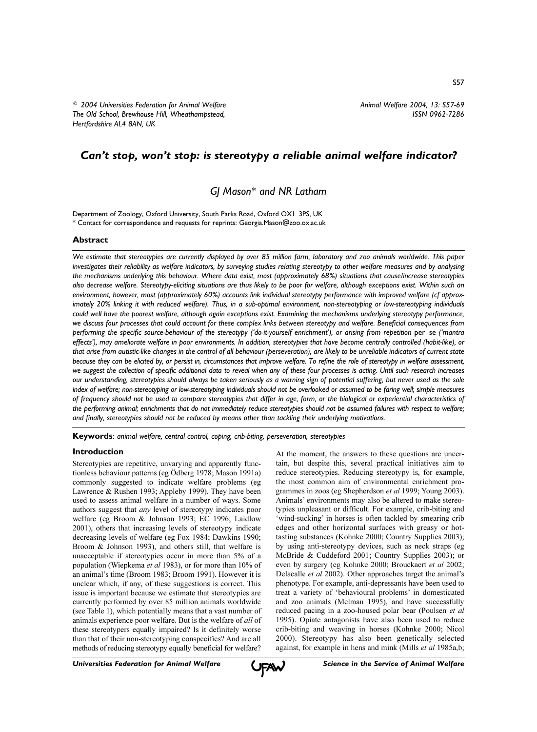# Can't stop, won't stop: is stereotypy a reliable animal welfare indicator?

GJ Mason\* and NR Latham

Department of Zoology, Oxford University, South Parks Road, Oxford OX1 3PS, UK \* Contact for correspondence and requests for reprints: Georgia.Mason@zoo.ox.ac.uk

# **Abstract**

We estimate that stereotypies are currently displayed by over 85 million farm, laboratory and zoo animals worldwide. This paper investigates their reliability as welfare indicators, by surveying studies relating stereotypy to other welfare measures and by analysing the mechanisms underlying this behaviour. Where data exist, most (approximately 68%) situations that cause/increase stereotypies also decrease welfare. Stereotypy-eliciting situations are thus likely to be poor for welfare, although exceptions exist. Within such an environment, however, most (approximately 60%) accounts link individual stereotypy performance with improved welfare (cf approximately 20% linking it with reduced welfare). Thus, in a sub-optimal environment, non-stereotyping or low-stereotyping individuals could well have the poorest welfare, although again exceptions exist. Examining the mechanisms underlying stereotypy performance, we discuss four processes that could account for these complex links between stereotypy and welfare. Beneficial consequences from performing the specific source-behaviour of the stereotypy ('do-it-yourself enrichment'), or arising from repetition per se ('mantra effects'), may ameliorate welfare in boor environments. In addition, stereotypies that have become centrally controlled (habit-like), or that arise from autistic-like changes in the control of all behaviour (perseveration), are likely to be unreliable indicators of current state because they can be elicited by, or persist in, circumstances that improve welfare. To refine the role of stereotypy in welfare assessment, we suggest the collection of specific additional data to reveal when any of these four processes is acting. Until such research increases our understanding, stereotypies should always be taken seriously as a warning sign of potential suffering, but never used as the sole index of welfare; non-stereotyping or low-stereotyping individuals should not be overlooked or assumed to be faring well; simple measures of frequency should not be used to compare stereotypies that differ in age, form, or the biological or experiential characteristics of the performing animal; enrichments that do not immediately reduce stereotypies should not be assumed failures with respect to welfare; and finally, stereotypies should not be reduced by means other than tackling their underlying motivations.

Keywords: animal welfare, central control, coping, crib-biting, perseveration, stereotypies

## **Introduction**

Stereotypies are repetitive, unvarying and apparently functionless behaviour patterns (eg Ödberg 1978; Mason 1991a) commonly suggested to indicate welfare problems (eg Lawrence & Rushen 1993; Appleby 1999). They have been used to assess animal welfare in a number of ways. Some authors suggest that *any* level of stereotypy indicates poor welfare (eg Broom & Johnson 1993; EC 1996; Laidlow 2001), others that increasing levels of stereotypy indicate decreasing levels of welfare (eg Fox 1984; Dawkins 1990; Broom & Johnson 1993), and others still, that welfare is unacceptable if stereotypies occur in more than 5% of a population (Wiepkema et al 1983), or for more than 10% of an animal's time (Broom 1983; Broom 1991). However it is unclear which, if any, of these suggestions is correct. This issue is important because we estimate that stereotypies are currently performed by over 85 million animals worldwide (see Table 1), which potentially means that a vast number of animals experience poor welfare. But is the welfare of all of these stereotypers equally impaired? Is it definitely worse than that of their non-stereotyping conspecifics? And are all methods of reducing stereotypy equally beneficial for welfare?

At the moment, the answers to these questions are uncertain, but despite this, several practical initiatives aim to reduce stereotypies. Reducing stereotypy is, for example, the most common aim of environmental enrichment programmes in zoos (eg Shepherdson et al 1999; Young 2003). Animals' environments may also be altered to make stereotypies unpleasant or difficult. For example, crib-biting and 'wind-sucking' in horses is often tackled by smearing crib edges and other horizontal surfaces with greasy or hottasting substances (Kohnke 2000; Country Supplies 2003); by using anti-stereotypy devices, such as neck straps (eg McBride & Cuddeford 2001; Country Supplies 2003); or even by surgery (eg Kohnke 2000; Brouckaert et al 2002; Delacalle *et al* 2002). Other approaches target the animal's phenotype. For example, anti-depressants have been used to treat a variety of 'behavioural problems' in domesticated and zoo animals (Melman 1995), and have successfully reduced pacing in a zoo-housed polar bear (Poulsen et al 1995). Opiate antagonists have also been used to reduce crib-biting and weaving in horses (Kohnke 2000; Nicol 2000). Stereotypy has also been genetically selected against, for example in hens and mink (Mills et al 1985a,b;

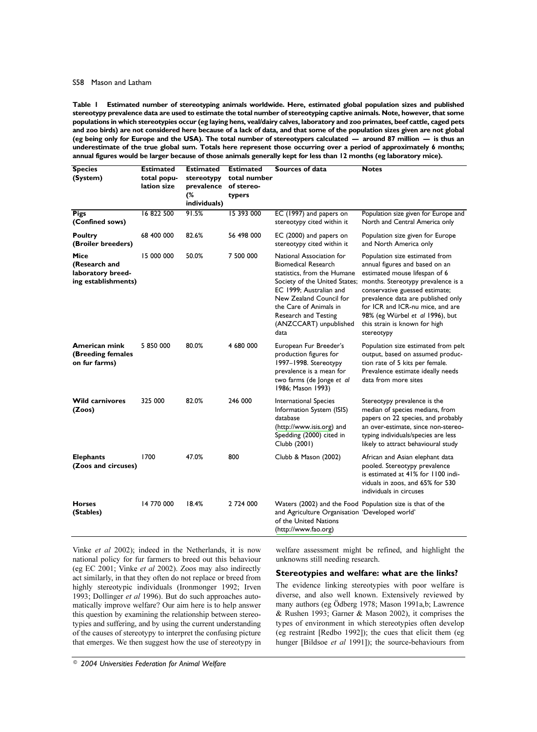#### S58 Mason and Latham

Estimated number of stereotyping animals worldwide. Here, estimated global population sizes and published Table I stereotypy prevalence data are used to estimate the total number of stereotyping captive animals. Note, however, that some populations in which stereotypies occur (eg laying hens, veal/dairy calves, laboratory and zoo primates, beef cattle, caged pets and zoo birds) are not considered here because of a lack of data, and that some of the population sizes given are not global (eg being only for Europe and the USA). The total number of stereotypers calculated — around 87 million — is thus an underestimate of the true global sum. Totals here represent those occurring over a period of approximately 6 months; annual figures would be larger because of those animals generally kept for less than 12 months (eg laboratory mice).

| <b>Species</b><br>(System)                                        | <b>Estimated</b><br>total popu-<br>lation size | <b>Estimated</b><br>stereotypy<br>prevalence<br>(%<br>individuals) | <b>Estimated</b><br>total number<br>of stereo-<br>typers | <b>Sources of data</b>                                                                                                                                                                                                                                           | <b>Notes</b>                                                                                                                                                                                                                                                                                                                          |
|-------------------------------------------------------------------|------------------------------------------------|--------------------------------------------------------------------|----------------------------------------------------------|------------------------------------------------------------------------------------------------------------------------------------------------------------------------------------------------------------------------------------------------------------------|---------------------------------------------------------------------------------------------------------------------------------------------------------------------------------------------------------------------------------------------------------------------------------------------------------------------------------------|
| <b>Pigs</b><br>(Confined sows)                                    | 16 822 500                                     | 91.5%                                                              | 15 393 000                                               | EC (1997) and papers on<br>stereotypy cited within it                                                                                                                                                                                                            | Population size given for Europe and<br>North and Central America only                                                                                                                                                                                                                                                                |
| <b>Poultry</b><br>(Broiler breeders)                              | 68 400 000                                     | 82.6%                                                              | 56 498 000                                               | EC (2000) and papers on<br>stereotypy cited within it                                                                                                                                                                                                            | Population size given for Europe<br>and North America only                                                                                                                                                                                                                                                                            |
| Mice<br>(Research and<br>laboratory breed-<br>ing establishments) | 15 000 000                                     | 50.0%                                                              | 7 500 000                                                | National Association for<br><b>Biomedical Research</b><br>statistics, from the Humane<br>Society of the United States;<br>EC 1999; Australian and<br>New Zealand Council for<br>the Care of Animals in<br>Research and Testing<br>(ANZCCART) unpublished<br>data | Population size estimated from<br>annual figures and based on an<br>estimated mouse lifespan of 6<br>months. Stereotypy prevalence is a<br>conservative guessed estimate;<br>prevalence data are published only<br>for ICR and ICR-nu mice, and are<br>98% (eg Würbel et al 1996), but<br>this strain is known for high<br>stereotypy |
| <b>American mink</b><br>(Breeding females<br>on fur farms)        | 5 850 000                                      | 80.0%                                                              | 4 680 000                                                | European Fur Breeder's<br>production figures for<br>1997-1998. Stereotypy<br>prevalence is a mean for<br>two farms (de Jonge et al<br>1986; Mason 1993)                                                                                                          | Population size estimated from pelt<br>output, based on assumed produc-<br>tion rate of 5 kits per female.<br>Prevalence estimate ideally needs<br>data from more sites                                                                                                                                                               |
| <b>Wild carnivores</b><br>(Zoos)                                  | 325 000                                        | 82.0%                                                              | 246 000                                                  | International Species<br>Information System (ISIS)<br>database<br>(http://www.isis.org) and<br>Spedding (2000) cited in<br>Clubb (2001)                                                                                                                          | Stereotypy prevalence is the<br>median of species medians, from<br>papers on 22 species, and probably<br>an over-estimate, since non-stereo-<br>typing individuals/species are less<br>likely to attract behavioural study                                                                                                            |
| <b>Elephants</b><br>(Zoos and circuses)                           | 1700                                           | 47.0%                                                              | 800                                                      | Clubb & Mason (2002)                                                                                                                                                                                                                                             | African and Asian elephant data<br>pooled. Stereotypy prevalence<br>is estimated at 41% for 1100 indi-<br>viduals in zoos, and 65% for 530<br>individuals in circuses                                                                                                                                                                 |
| <b>Horses</b><br>(Stables)                                        | 14 770 000                                     | 18.4%                                                              | 2 724 000                                                | and Agriculture Organisation 'Developed world'<br>of the United Nations<br>(http://www.fao.org)                                                                                                                                                                  | Waters (2002) and the Food Population size is that of the                                                                                                                                                                                                                                                                             |

Vinke et al 2002); indeed in the Netherlands, it is now national policy for fur farmers to breed out this behaviour (eg EC 2001; Vinke et al 2002). Zoos may also indirectly act similarly, in that they often do not replace or breed from highly stereotypic individuals (Ironmonger 1992; Irven 1993; Dollinger et al 1996). But do such approaches automatically improve welfare? Our aim here is to help answer this question by examining the relationship between stereotypies and suffering, and by using the current understanding of the causes of stereotypy to interpret the confusing picture that emerges. We then suggest how the use of stereotypy in welfare assessment might be refined, and highlight the unknowns still needing research.

## Stereotypies and welfare: what are the links?

The evidence linking stereotypies with poor welfare is diverse, and also well known. Extensively reviewed by many authors (eg Ödberg 1978; Mason 1991a,b; Lawrence & Rushen 1993; Garner & Mason 2002), it comprises the types of environment in which stereotypies often develop (eg restraint [Redbo 1992]); the cues that elicit them (eg hunger [Bildsoe et al 1991]); the source-behaviours from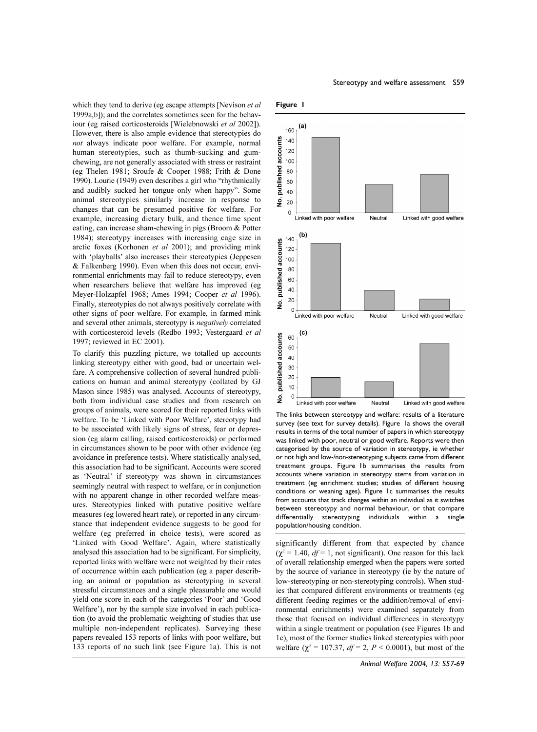which they tend to derive (eg escape attempts [Nevison et al. 1999a, bl); and the correlates sometimes seen for the behaviour (eg raised corticosteroids [Wielebnowski et al 2002]). However, there is also ample evidence that stereotypies do not always indicate poor welfare. For example, normal human stereotypies, such as thumb-sucking and gumchewing, are not generally associated with stress or restraint (eg Thelen 1981; Sroufe & Cooper 1988; Frith & Done 1990). Lourie (1949) even describes a girl who "rhythmically and audibly sucked her tongue only when happy". Some animal stereotypies similarly increase in response to changes that can be presumed positive for welfare. For example, increasing dietary bulk, and thence time spent eating, can increase sham-chewing in pigs (Broom & Potter 1984); stereotypy increases with increasing cage size in arctic foxes (Korhonen et al 2001); and providing mink with 'playballs' also increases their stereotypies (Jeppesen & Falkenberg 1990). Even when this does not occur, environmental enrichments may fail to reduce stereotypy, even when researchers believe that welfare has improved (eg Meyer-Holzapfel 1968; Ames 1994; Cooper et al 1996). Finally, stereotypies do not always positively correlate with other signs of poor welfare. For example, in farmed mink and several other animals, stereotypy is *negatively* correlated with corticosteroid levels (Redbo 1993; Vestergaard et al 1997; reviewed in EC 2001).

To clarify this puzzling picture, we totalled up accounts linking stereotypy either with good, bad or uncertain welfare. A comprehensive collection of several hundred publications on human and animal stereotypy (collated by GJ Mason since 1985) was analysed. Accounts of stereotypy, both from individual case studies and from research on groups of animals, were scored for their reported links with welfare. To be 'Linked with Poor Welfare', stereotypy had to be associated with likely signs of stress, fear or depression (eg alarm calling, raised corticosteroids) or performed in circumstances shown to be poor with other evidence (eg avoidance in preference tests). Where statistically analysed, this association had to be significant. Accounts were scored as 'Neutral' if stereotypy was shown in circumstances seemingly neutral with respect to welfare, or in conjunction with no apparent change in other recorded welfare measures. Stereotypies linked with putative positive welfare measures (eg lowered heart rate), or reported in any circumstance that independent evidence suggests to be good for welfare (eg preferred in choice tests), were scored as 'Linked with Good Welfare'. Again, where statistically analysed this association had to be significant. For simplicity, reported links with welfare were not weighted by their rates of occurrence within each publication (eg a paper describing an animal or population as stereotyping in several stressful circumstances and a single pleasurable one would yield one score in each of the categories 'Poor' and 'Good Welfare'), nor by the sample size involved in each publication (to avoid the problematic weighting of studies that use multiple non-independent replicates). Surveying these papers revealed 153 reports of links with poor welfare, but 133 reports of no such link (see Figure 1a). This is not





The links between stereotypy and welfare: results of a literature survey (see text for survey details). Figure la shows the overall results in terms of the total number of papers in which stereotypy was linked with poor, neutral or good welfare. Reports were then categorised by the source of variation in stereotypy, ie whether or not high and low-/non-stereotyping subjects came from different treatment groups. Figure 1b summarises the results from accounts where variation in stereotypy stems from variation in treatment (eg enrichment studies; studies of different housing conditions or weaning ages). Figure 1c summarises the results from accounts that track changes within an individual as it switches between stereotypy and normal behaviour, or that compare differentially stereotyping individuals within a single population/housing condition.

significantly different from that expected by chance  $(\chi^2 = 1.40, df = 1$ , not significant). One reason for this lack of overall relationship emerged when the papers were sorted by the source of variance in stereotypy (ie by the nature of low-stereotyping or non-stereotyping controls). When studies that compared different environments or treatments (eg different feeding regimes or the addition/removal of environmental enrichments) were examined separately from those that focused on individual differences in stereotypy within a single treatment or population (see Figures 1b and 1c), most of the former studies linked stereotypies with poor welfare ( $\chi^2$  = 107.37, *df* = 2, *P* < 0.0001), but most of the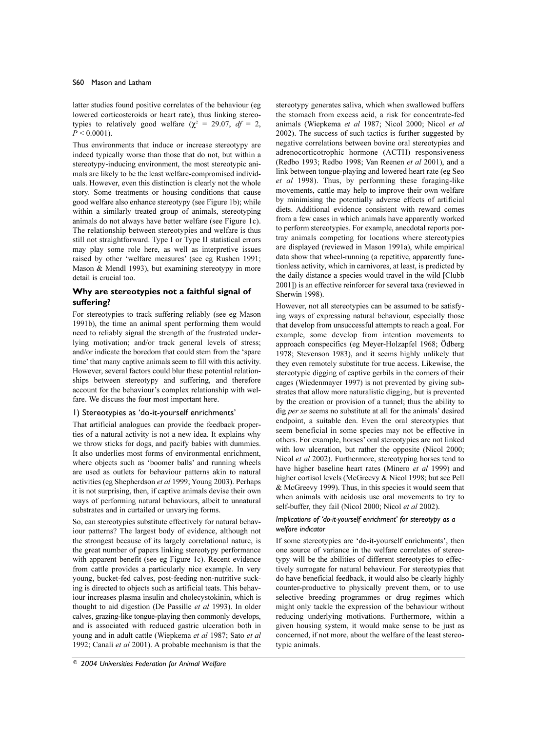latter studies found positive correlates of the behaviour (eg lowered corticosteroids or heart rate), thus linking stereotypies to relatively good welfare ( $\chi^2$  = 29.07, df = 2,  $P < 0.0001$ ).

Thus environments that induce or increase stereotypy are indeed typically worse than those that do not, but within a stereotypy-inducing environment, the most stereotypic animals are likely to be the least welfare-compromised individuals. However, even this distinction is clearly not the whole story. Some treatments or housing conditions that cause good welfare also enhance stereotypy (see Figure 1b); while within a similarly treated group of animals, stereotyping animals do not always have better welfare (see Figure 1c). The relationship between stereotypies and welfare is thus still not straightforward. Type I or Type II statistical errors may play some role here, as well as interpretive issues raised by other 'welfare measures' (see eg Rushen 1991; Mason & Mendl 1993), but examining stereotypy in more detail is crucial too.

# Why are stereotypies not a faithful signal of suffering?

For stereotypies to track suffering reliably (see eg Mason 1991b), the time an animal spent performing them would need to reliably signal the strength of the frustrated underlying motivation; and/or track general levels of stress; and/or indicate the boredom that could stem from the 'spare time' that many captive animals seem to fill with this activity. However, several factors could blur these potential relationships between stereotypy and suffering, and therefore account for the behaviour's complex relationship with welfare. We discuss the four most important here.

## I) Stereotypies as 'do-it-yourself enrichments'

That artificial analogues can provide the feedback properties of a natural activity is not a new idea. It explains why we throw sticks for dogs, and pacify babies with dummies. It also underlies most forms of environmental enrichment, where objects such as 'boomer balls' and running wheels are used as outlets for behaviour patterns akin to natural activities (eg Shepherdson et al 1999; Young 2003). Perhaps it is not surprising, then, if captive animals devise their own ways of performing natural behaviours, albeit to unnatural substrates and in curtailed or unvarying forms.

So, can stereotypies substitute effectively for natural behaviour patterns? The largest body of evidence, although not the strongest because of its largely correlational nature, is the great number of papers linking stereotypy performance with apparent benefit (see eg Figure 1c). Recent evidence from cattle provides a particularly nice example. In very young, bucket-fed calves, post-feeding non-nutritive sucking is directed to objects such as artificial teats. This behaviour increases plasma insulin and cholecystokinin, which is thought to aid digestion (De Passille et al 1993). In older calves, grazing-like tongue-playing then commonly develops, and is associated with reduced gastric ulceration both in young and in adult cattle (Wiepkema et al 1987; Sato et al 1992; Canali et al 2001). A probable mechanism is that the

stereotypy generates saliva, which when swallowed buffers the stomach from excess acid, a risk for concentrate-fed animals (Wiepkema et al 1987; Nicol 2000; Nicol et al 2002). The success of such tactics is further suggested by negative correlations between bovine oral stereotypies and adrenocorticotrophic hormone (ACTH) responsiveness (Redbo 1993; Redbo 1998; Van Reenen et al 2001), and a link between tongue-playing and lowered heart rate (eg Seo et al 1998). Thus, by performing these foraging-like movements, cattle may help to improve their own welfare by minimising the potentially adverse effects of artificial diets. Additional evidence consistent with reward comes from a few cases in which animals have apparently worked to perform stereotypies. For example, anecdotal reports portray animals competing for locations where stereotypies are displayed (reviewed in Mason 1991a), while empirical data show that wheel-running (a repetitive, apparently functionless activity, which in carnivores, at least, is predicted by the daily distance a species would travel in the wild [Clubb] 2001]) is an effective reinforcer for several taxa (reviewed in Sherwin 1998).

However, not all stereotypies can be assumed to be satisfying ways of expressing natural behaviour, especially those that develop from unsuccessful attempts to reach a goal. For example, some develop from intention movements to approach conspecifics (eg Meyer-Holzapfel 1968; Ödberg 1978; Stevenson 1983), and it seems highly unlikely that they even remotely substitute for true access. Likewise, the stereotypic digging of captive gerbils in the corners of their cages (Wiedenmayer 1997) is not prevented by giving substrates that allow more naturalistic digging, but is prevented by the creation or provision of a tunnel; thus the ability to dig per se seems no substitute at all for the animals' desired endpoint, a suitable den. Even the oral stereotypies that seem beneficial in some species may not be effective in others. For example, horses' oral stereotypies are not linked with low ulceration, but rather the opposite (Nicol 2000; Nicol et al 2002). Furthermore, stereotyping horses tend to have higher baseline heart rates (Minero et al 1999) and higher cortisol levels (McGreevy & Nicol 1998; but see Pell & McGreevy 1999). Thus, in this species it would seem that when animals with acidosis use oral movements to try to self-buffer, they fail (Nicol 2000; Nicol et al 2002).

#### Implications of 'do-it-yourself enrichment' for stereotypy as a welfare indicator

If some stereotypies are 'do-it-yourself enrichments', then one source of variance in the welfare correlates of stereotypy will be the abilities of different stereotypies to effectively surrogate for natural behaviour. For stereotypies that do have beneficial feedback, it would also be clearly highly counter-productive to physically prevent them, or to use selective breeding programmes or drug regimes which might only tackle the expression of the behaviour without reducing underlying motivations. Furthermore, within a given housing system, it would make sense to be just as concerned, if not more, about the welfare of the least stereotypic animals.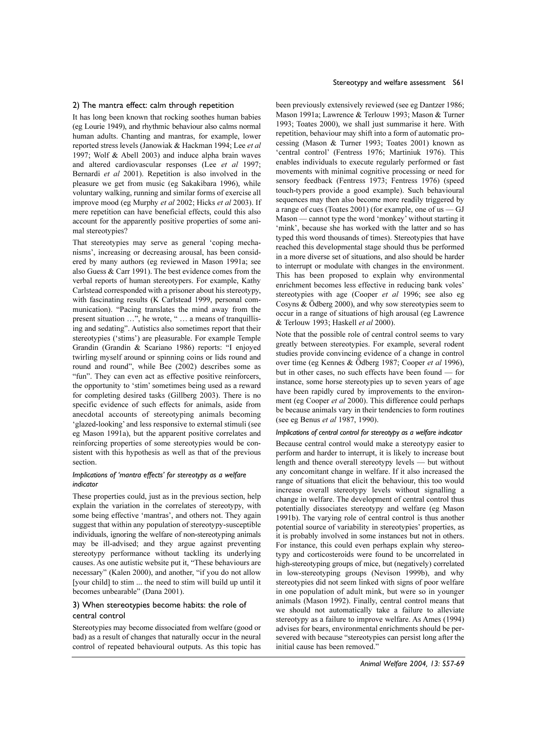## 2) The mantra effect: calm through repetition

It has long been known that rocking soothes human babies (eg Lourie 1949), and rhythmic behaviour also calms normal human adults. Chanting and mantras, for example, lower reported stress levels (Janowiak & Hackman 1994; Lee et al 1997; Wolf & Abell 2003) and induce alpha brain waves and altered cardiovascular responses (Lee et al 1997; Bernardi et al 2001). Repetition is also involved in the pleasure we get from music (eg Sakakibara 1996), while voluntary walking, running and similar forms of exercise all improve mood (eg Murphy et al 2002; Hicks et al 2003). If mere repetition can have beneficial effects, could this also account for the apparently positive properties of some animal stereotypies?

That stereotypies may serve as general 'coping mechanisms', increasing or decreasing arousal, has been considered by many authors (eg reviewed in Mason 1991a; see also Guess & Carr 1991). The best evidence comes from the verbal reports of human stereotypers. For example, Kathy Carlstead corresponded with a prisoner about his stereotypy, with fascinating results (K Carlstead 1999, personal communication). "Pacing translates the mind away from the present situation ...", he wrote, " ... a means of tranquillising and sedating". Autistics also sometimes report that their stereotypies ('stims') are pleasurable. For example Temple Grandin (Grandin & Scariano 1986) reports: "I enjoyed twirling myself around or spinning coins or lids round and round and round", while Bee (2002) describes some as "fun". They can even act as effective positive reinforcers, the opportunity to 'stim' sometimes being used as a reward for completing desired tasks (Gillberg 2003). There is no specific evidence of such effects for animals, aside from anecdotal accounts of stereotyping animals becoming 'glazed-looking' and less responsive to external stimuli (see eg Mason 1991a), but the apparent positive correlates and reinforcing properties of some stereotypies would be consistent with this hypothesis as well as that of the previous section.

# Implications of 'mantra effects' for stereotypy as a welfare indicator

These properties could, just as in the previous section, help explain the variation in the correlates of stereotypy, with some being effective 'mantras', and others not. They again suggest that within any population of stereotypy-susceptible individuals, ignoring the welfare of non-stereotyping animals may be ill-advised; and they argue against preventing stereotypy performance without tackling its underlying causes. As one autistic website put it, "These behaviours are necessary" (Kalen 2000), and another, "if you do not allow [your child] to stim ... the need to stim will build up until it becomes unbearable" (Dana 2001).

## 3) When stereotypies become habits: the role of central control

Stereotypies may become dissociated from welfare (good or bad) as a result of changes that naturally occur in the neural control of repeated behavioural outputs. As this topic has

been previously extensively reviewed (see eg Dantzer 1986; Mason 1991a: Lawrence & Terlouw 1993: Mason & Turner 1993; Toates 2000), we shall just summarise it here. With repetition, behaviour may shift into a form of automatic processing (Mason & Turner 1993; Toates 2001) known as 'central control' (Fentress 1976; Martiniuk 1976). This enables individuals to execute regularly performed or fast movements with minimal cognitive processing or need for sensory feedback (Fentress 1973; Fentress 1976) (speed touch-typers provide a good example). Such behavioural sequences may then also become more readily triggered by a range of cues (Toates 2001) (for example, one of  $us$  — GJ Mason — cannot type the word 'monkey' without starting it 'mink', because she has worked with the latter and so has typed this word thousands of times). Stereotypies that have reached this developmental stage should thus be performed in a more diverse set of situations, and also should be harder to interrupt or modulate with changes in the environment. This has been proposed to explain why environmental enrichment becomes less effective in reducing bank voles' stereotypies with age (Cooper et al 1996; see also eg Cosyns  $\&$  Ödberg 2000), and why sow stereotypies seem to occur in a range of situations of high arousal (eg Lawrence & Terlouw 1993; Haskell et al 2000).

Note that the possible role of central control seems to vary greatly between stereotypies. For example, several rodent studies provide convincing evidence of a change in control over time (eg Kennes & Ödberg 1987; Cooper et al 1996), but in other cases, no such effects have been found - for instance, some horse stereotypies up to seven years of age have been rapidly cured by improvements to the environment (eg Cooper et al 2000). This difference could perhaps be because animals vary in their tendencies to form routines (see eg Benus et al 1987, 1990).

## Implications of central control for stereotypy as a welfare indicator

Because central control would make a stereotypy easier to perform and harder to interrupt, it is likely to increase bout length and thence overall stereotypy levels — but without any concomitant change in welfare. If it also increased the range of situations that elicit the behaviour, this too would increase overall stereotypy levels without signalling a change in welfare. The development of central control thus potentially dissociates stereotypy and welfare (eg Mason 1991b). The varying role of central control is thus another potential source of variability in stereotypies' properties, as it is probably involved in some instances but not in others. For instance, this could even perhaps explain why stereotypy and corticosteroids were found to be uncorrelated in high-stereotyping groups of mice, but (negatively) correlated in low-stereotyping groups (Nevison 1999b), and why stereotypies did not seem linked with signs of poor welfare in one population of adult mink, but were so in younger animals (Mason 1992). Finally, central control means that we should not automatically take a failure to alleviate stereotypy as a failure to improve welfare. As Ames (1994) advises for bears, environmental enrichments should be persevered with because "stereotypies can persist long after the initial cause has been removed."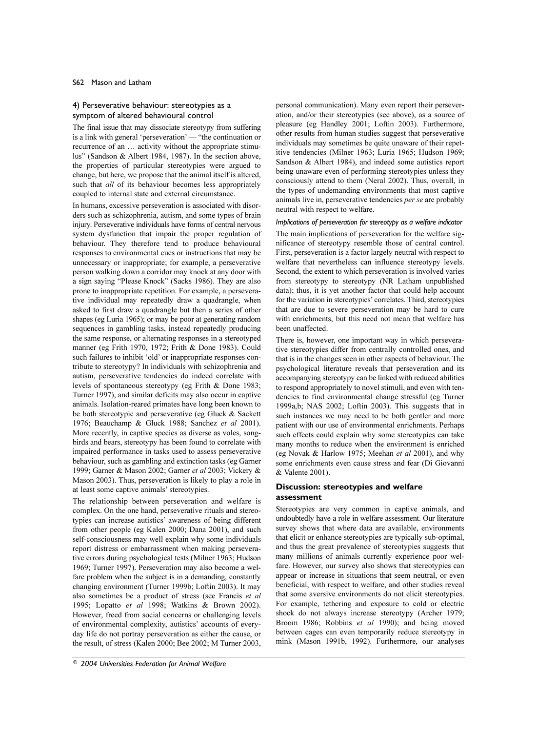# 4) Perseverative behaviour: stereotypies as a symptom of altered behavioural control

The final issue that may dissociate stereotypy from suffering is a link with general 'perseveration' — "the continuation or recurrence of an ... activity without the appropriate stimulus" (Sandson & Albert 1984, 1987). In the section above, the properties of particular stereotypies were argued to change, but here, we propose that the animal itself is altered, such that *all* of its behaviour becomes less appropriately coupled to internal state and external circumstance.

In humans, excessive perseveration is associated with disorders such as schizophrenia, autism, and some types of brain injury. Perseverative individuals have forms of central nervous system dysfunction that impair the proper regulation of behaviour. They therefore tend to produce behavioural responses to environmental cues or instructions that may be unnecessary or inappropriate; for example, a perseverative person walking down a corridor may knock at any door with a sign saying "Please Knock" (Sacks 1986). They are also prone to inappropriate repetition. For example, a perseverative individual may repeatedly draw a quadrangle, when asked to first draw a quadrangle but then a series of other shapes (eg Luria 1965); or may be poor at generating random sequences in gambling tasks, instead repeatedly producing the same response, or alternating responses in a stereotyped manner (eg Frith 1970, 1972; Frith & Done 1983). Could such failures to inhibit 'old' or inappropriate responses contribute to stereotypy? In individuals with schizophrenia and autism, perseverative tendencies do indeed correlate with levels of spontaneous stereotypy (eg Frith & Done 1983; Turner 1997), and similar deficits may also occur in captive animals. Isolation-reared primates have long been known to be both stereotypic and perseverative (eg Gluck & Sackett 1976; Beauchamp & Gluck 1988; Sanchez et al 2001). More recently, in captive species as diverse as voles, songbirds and bears, stereotypy has been found to correlate with impaired performance in tasks used to assess perseverative behaviour, such as gambling and extinction tasks (eg Garner 1999; Garner & Mason 2002; Garner et al 2003; Vickery & Mason 2003). Thus, perseveration is likely to play a role in at least some captive animals' stereotypies.

The relationship between perseveration and welfare is complex. On the one hand, perseverative rituals and stereotypies can increase autistics' awareness of being different from other people (eg Kalen 2000; Dana 2001), and such self-consciousness may well explain why some individuals report distress or embarrassment when making perseverative errors during psychological tests (Milner 1963; Hudson 1969; Turner 1997). Perseveration may also become a welfare problem when the subject is in a demanding, constantly changing environment (Turner 1999b; Loftin 2003). It may also sometimes be a product of stress (see Francis et al 1995; Lopatto et al 1998; Watkins & Brown 2002). However, freed from social concerns or challenging levels of environmental complexity, autistics' accounts of everyday life do not portray perseveration as either the cause, or the result, of stress (Kalen 2000; Bee 2002; M Turner 2003,

personal communication). Many even report their perseveration, and/or their stereotypies (see above), as a source of pleasure (eg Handley 2001; Loftin 2003). Furthermore, other results from human studies suggest that perseverative individuals may sometimes be quite unaware of their repetitive tendencies (Milner 1963; Luria 1965; Hudson 1969; Sandson & Albert 1984), and indeed some autistics report being unaware even of performing stereotypies unless they consciously attend to them (Neral 2002). Thus, overall, in the types of undemanding environments that most captive animals live in, perseverative tendencies per se are probably neutral with respect to welfare.

#### Implications of perseveration for stereotypy as a welfare indicator

The main implications of perseveration for the welfare significance of stereotypy resemble those of central control. First, perseveration is a factor largely neutral with respect to welfare that nevertheless can influence stereotypy levels. Second, the extent to which perseveration is involved varies from stereotypy to stereotypy (NR Latham unpublished data); thus, it is yet another factor that could help account for the variation in stereotypies' correlates. Third, stereotypies that are due to severe perseveration may be hard to cure with enrichments, but this need not mean that welfare has been unaffected.

There is, however, one important way in which perseverative stereotypies differ from centrally controlled ones, and that is in the changes seen in other aspects of behaviour. The psychological literature reveals that perseveration and its accompanying stereotypy can be linked with reduced abilities to respond appropriately to novel stimuli, and even with tendencies to find environmental change stressful (eg Turner 1999a,b; NAS 2002; Loftin 2003). This suggests that in such instances we may need to be both gentler and more patient with our use of environmental enrichments. Perhaps such effects could explain why some stereotypies can take many months to reduce when the environment is enriched (eg Novak & Harlow 1975; Meehan *et al* 2001), and why some enrichments even cause stress and fear (Di Giovanni & Valente 2001).

# Discussion: stereotypies and welfare assessment

Stereotypies are very common in captive animals, and undoubtedly have a role in welfare assessment. Our literature survey shows that where data are available, environments that elicit or enhance stereotypies are typically sub-optimal, and thus the great prevalence of stereotypies suggests that many millions of animals currently experience poor welfare. However, our survey also shows that stereotypies can appear or increase in situations that seem neutral, or even beneficial, with respect to welfare, and other studies reveal that some aversive environments do not elicit stereotypies. For example, tethering and exposure to cold or electric shock do not always increase stereotypy (Archer 1979; Broom 1986; Robbins et al 1990); and being moved between cages can even temporarily reduce stereotypy in mink (Mason 1991b, 1992). Furthermore, our analyses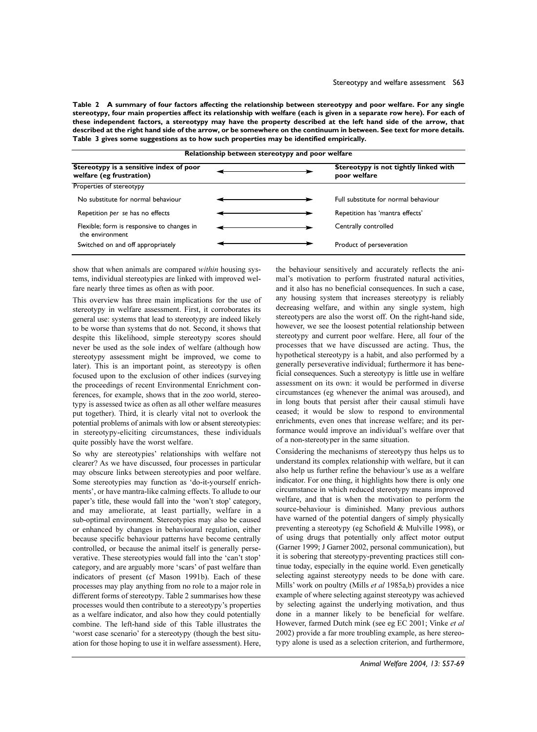Table 2 A summary of four factors affecting the relationship between stereotypy and poor welfare. For any single stereotypy, four main properties affect its relationship with welfare (each is given in a separate row here). For each of these independent factors, a stereotypy may have the property described at the left hand side of the arrow, that described at the right hand side of the arrow, or be somewhere on the continuum in between. See text for more details. Table 3 gives some suggestions as to how such properties may be identified empirically.

| Relationship between stereotypy and poor welfare                    |  |  |                                                       |  |  |  |  |
|---------------------------------------------------------------------|--|--|-------------------------------------------------------|--|--|--|--|
| Stereotypy is a sensitive index of poor<br>welfare (eg frustration) |  |  | Stereotypy is not tightly linked with<br>poor welfare |  |  |  |  |
| Properties of stereotypy                                            |  |  |                                                       |  |  |  |  |
| No substitute for normal behaviour                                  |  |  | Full substitute for normal behaviour                  |  |  |  |  |
| Repetition per se has no effects                                    |  |  | Repetition has 'mantra effects'                       |  |  |  |  |
| Flexible; form is responsive to changes in<br>the environment       |  |  | Centrally controlled                                  |  |  |  |  |
| Switched on and off appropriately                                   |  |  | Product of perseveration                              |  |  |  |  |

show that when animals are compared *within* housing systems, individual stereotypies are linked with improved welfare nearly three times as often as with poor.

This overview has three main implications for the use of stereotypy in welfare assessment. First, it corroborates its general use: systems that lead to stereotypy are indeed likely to be worse than systems that do not. Second, it shows that despite this likelihood, simple stereotypy scores should never be used as the sole index of welfare (although how stereotypy assessment might be improved, we come to later). This is an important point, as stereotypy is often focused upon to the exclusion of other indices (surveying the proceedings of recent Environmental Enrichment conferences, for example, shows that in the zoo world, stereotypy is assessed twice as often as all other welfare measures put together). Third, it is clearly vital not to overlook the potential problems of animals with low or absent stereotypies: in stereotypy-eliciting circumstances, these individuals quite possibly have the worst welfare.

So why are stereotypies' relationships with welfare not clearer? As we have discussed, four processes in particular may obscure links between stereotypies and poor welfare. Some stereotypies may function as 'do-it-yourself enrichments', or have mantra-like calming effects. To allude to our paper's title, these would fall into the 'won't stop' category, and may ameliorate, at least partially, welfare in a sub-optimal environment. Stereotypies may also be caused or enhanced by changes in behavioural regulation, either because specific behaviour patterns have become centrally controlled, or because the animal itself is generally perseverative. These stereotypies would fall into the 'can't stop' category, and are arguably more 'scars' of past welfare than indicators of present (cf Mason 1991b). Each of these processes may play anything from no role to a major role in different forms of stereotypy. Table 2 summarises how these processes would then contribute to a stereotypy's properties as a welfare indicator, and also how they could potentially combine. The left-hand side of this Table illustrates the 'worst case scenario' for a stereotypy (though the best situation for those hoping to use it in welfare assessment). Here,

the behaviour sensitively and accurately reflects the animal's motivation to perform frustrated natural activities, and it also has no beneficial consequences. In such a case, any housing system that increases stereotypy is reliably decreasing welfare, and within any single system, high stereotypers are also the worst off. On the right-hand side, however, we see the loosest potential relationship between stereotypy and current poor welfare. Here, all four of the processes that we have discussed are acting. Thus, the hypothetical stereotypy is a habit, and also performed by a generally perseverative individual; furthermore it has beneficial consequences. Such a stereotypy is little use in welfare assessment on its own: it would be performed in diverse circumstances (eg whenever the animal was aroused), and in long bouts that persist after their causal stimuli have ceased; it would be slow to respond to environmental enrichments, even ones that increase welfare; and its performance would improve an individual's welfare over that of a non-stereotyper in the same situation.

Considering the mechanisms of stereotypy thus helps us to understand its complex relationship with welfare, but it can also help us further refine the behaviour's use as a welfare indicator. For one thing, it highlights how there is only one circumstance in which reduced stereotypy means improved welfare, and that is when the motivation to perform the source-behaviour is diminished. Many previous authors have warned of the potential dangers of simply physically preventing a stereotypy (eg Schofield & Mulville 1998), or of using drugs that potentially only affect motor output (Garner 1999; J Garner 2002, personal communication), but it is sobering that stereotypy-preventing practices still continue today, especially in the equine world. Even genetically selecting against stereotypy needs to be done with care. Mills' work on poultry (Mills *et al* 1985a,b) provides a nice example of where selecting against stereotypy was achieved by selecting against the underlying motivation, and thus done in a manner likely to be beneficial for welfare. However, farmed Dutch mink (see eg EC 2001; Vinke et al 2002) provide a far more troubling example, as here stereotypy alone is used as a selection criterion, and furthermore,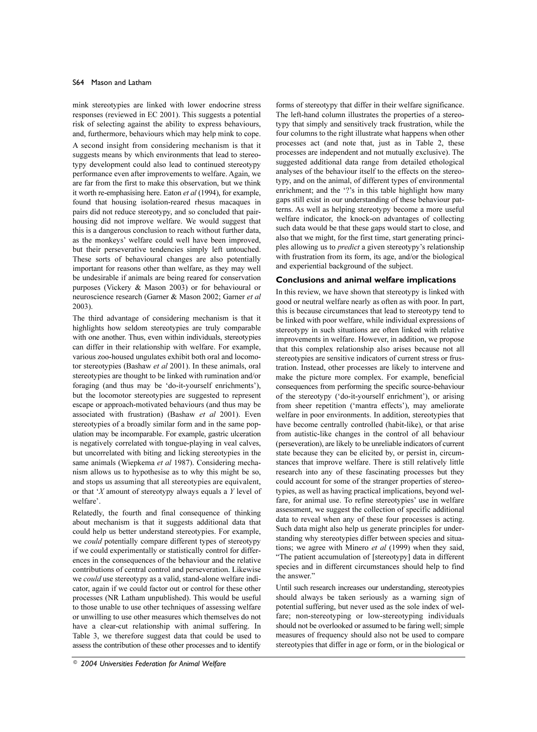mink stereotypies are linked with lower endocrine stress responses (reviewed in EC 2001). This suggests a potential risk of selecting against the ability to express behaviours, and, furthermore, behaviours which may help mink to cope.

A second insight from considering mechanism is that it suggests means by which environments that lead to stereotypy development could also lead to continued stereotypy performance even after improvements to welfare. Again, we are far from the first to make this observation, but we think it worth re-emphasising here. Eaton et al (1994), for example, found that housing isolation-reared rhesus macaques in pairs did not reduce stereotypy, and so concluded that pairhousing did not improve welfare. We would suggest that this is a dangerous conclusion to reach without further data, as the monkeys' welfare could well have been improved, but their perseverative tendencies simply left untouched. These sorts of behavioural changes are also potentially important for reasons other than welfare, as they may well be undesirable if animals are being reared for conservation purposes (Vickery & Mason 2003) or for behavioural or neuroscience research (Garner & Mason 2002; Garner et al  $2003$ ).

The third advantage of considering mechanism is that it highlights how seldom stereotypies are truly comparable with one another. Thus, even within individuals, stereotypies can differ in their relationship with welfare. For example, various zoo-housed ungulates exhibit both oral and locomotor stereotypies (Bashaw et al 2001). In these animals, oral stereotypies are thought to be linked with rumination and/or foraging (and thus may be 'do-it-yourself enrichments'), but the locomotor stereotypies are suggested to represent escape or approach-motivated behaviours (and thus may be associated with frustration) (Bashaw et al 2001). Even stereotypies of a broadly similar form and in the same population may be incomparable. For example, gastric ulceration is negatively correlated with tongue-playing in veal calves, but uncorrelated with biting and licking stereotypies in the same animals (Wiepkema et al 1987). Considering mechanism allows us to hypothesise as to why this might be so, and stops us assuming that all stereotypies are equivalent, or that 'X amount of stereotypy always equals a Y level of welfare'.

Relatedly, the fourth and final consequence of thinking about mechanism is that it suggests additional data that could help us better understand stereotypies. For example, we could potentially compare different types of stereotypy if we could experimentally or statistically control for differences in the consequences of the behaviour and the relative contributions of central control and perseveration. Likewise we could use stereotypy as a valid, stand-alone welfare indicator, again if we could factor out or control for these other processes (NR Latham unpublished). This would be useful to those unable to use other techniques of assessing welfare or unwilling to use other measures which themselves do not have a clear-cut relationship with animal suffering. In Table 3, we therefore suggest data that could be used to assess the contribution of these other processes and to identify

forms of stereotypy that differ in their welfare significance. The left-hand column illustrates the properties of a stereotypy that simply and sensitively track frustration, while the four columns to the right illustrate what happens when other processes act (and note that, just as in Table 2, these processes are independent and not mutually exclusive). The suggested additional data range from detailed ethological analyses of the behaviour itself to the effects on the stereotypy, and on the animal, of different types of environmental enrichment; and the '?'s in this table highlight how many gaps still exist in our understanding of these behaviour patterns. As well as helping stereotypy become a more useful welfare indicator, the knock-on advantages of collecting such data would be that these gaps would start to close, and also that we might, for the first time, start generating principles allowing us to *predict* a given stereotypy's relationship with frustration from its form, its age, and/or the biological and experiential background of the subject.

# Conclusions and animal welfare implications

In this review, we have shown that stereotypy is linked with good or neutral welfare nearly as often as with poor. In part, this is because circumstances that lead to stereotypy tend to be linked with poor welfare, while individual expressions of stereotypy in such situations are often linked with relative improvements in welfare. However, in addition, we propose that this complex relationship also arises because not all stereotypies are sensitive indicators of current stress or frustration. Instead, other processes are likely to intervene and make the picture more complex. For example, beneficial consequences from performing the specific source-behaviour of the stereotypy ('do-it-yourself enrichment'), or arising from sheer repetition ('mantra effects'), may ameliorate welfare in poor environments. In addition, stereotypies that have become centrally controlled (habit-like), or that arise from autistic-like changes in the control of all behaviour (perseveration), are likely to be unreliable indicators of current state because they can be elicited by, or persist in, circumstances that improve welfare. There is still relatively little research into any of these fascinating processes but they could account for some of the stranger properties of stereotypies, as well as having practical implications, beyond welfare, for animal use. To refine stereotypies' use in welfare assessment, we suggest the collection of specific additional data to reveal when any of these four processes is acting. Such data might also help us generate principles for understanding why stereotypies differ between species and situations; we agree with Minero et al (1999) when they said, "The patient accumulation of [stereotypy] data in different species and in different circumstances should help to find the answer."

Until such research increases our understanding, stereotypies should always be taken seriously as a warning sign of potential suffering, but never used as the sole index of welfare; non-stereotyping or low-stereotyping individuals should not be overlooked or assumed to be faring well; simple measures of frequency should also not be used to compare stereotypies that differ in age or form, or in the biological or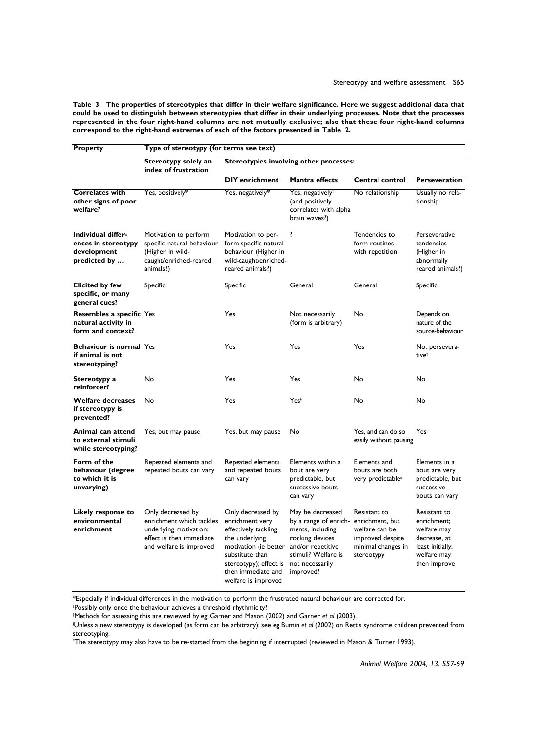Table 3 The properties of stereotypies that differ in their welfare significance. Here we suggest additional data that could be used to distinguish between stereotypies that differ in their underlying processes. Note that the processes represented in the four right-hand columns are not mutually exclusive; also that these four right-hand columns correspond to the right-hand extremes of each of the factors presented in Table 2.

| <b>Property</b>                                                          | Type of stereotypy (for terms see text)                                                                                        |                                                                                                                                                                                                   |                                                                                                                                                              |                                                                                                           |                                                                                                               |  |  |  |
|--------------------------------------------------------------------------|--------------------------------------------------------------------------------------------------------------------------------|---------------------------------------------------------------------------------------------------------------------------------------------------------------------------------------------------|--------------------------------------------------------------------------------------------------------------------------------------------------------------|-----------------------------------------------------------------------------------------------------------|---------------------------------------------------------------------------------------------------------------|--|--|--|
|                                                                          | Stereotypy solely an<br>index of frustration                                                                                   | <b>Stereotypies involving other processes:</b>                                                                                                                                                    |                                                                                                                                                              |                                                                                                           |                                                                                                               |  |  |  |
|                                                                          |                                                                                                                                | <b>DIY</b> enrichment                                                                                                                                                                             | Mantra effects                                                                                                                                               | <b>Central control</b>                                                                                    | <b>Perseveration</b>                                                                                          |  |  |  |
| <b>Correlates with</b><br>other signs of poor<br>welfare?                | Yes, positively*                                                                                                               | Yes, negatively*                                                                                                                                                                                  | Yes, negatively <sup>†</sup><br>(and positively<br>correlates with alpha<br>brain waves?)                                                                    | No relationship                                                                                           | Usually no rela-<br>tionship                                                                                  |  |  |  |
| Individual differ-<br>ences in stereotypy<br>development<br>predicted by | Motivation to perform<br>specific natural behaviour<br>(Higher in wild-<br>caught/enriched-reared<br>animals?)                 | Motivation to per-<br>form specific natural<br>behaviour (Higher in<br>wild-caught/enriched-<br>reared animals?)                                                                                  | ?                                                                                                                                                            | Tendencies to<br>form routines<br>with repetition                                                         | Perseverative<br>tendencies<br>(Higher in<br>abnormally<br>reared animals?)                                   |  |  |  |
| <b>Elicited by few</b><br>specific, or many<br>general cues?             | Specific                                                                                                                       | Specific                                                                                                                                                                                          | General                                                                                                                                                      | General                                                                                                   | Specific                                                                                                      |  |  |  |
| Resembles a specific Yes<br>natural activity in<br>form and context?     |                                                                                                                                | Yes                                                                                                                                                                                               | Not necessarily<br>(form is arbitrary)                                                                                                                       | No                                                                                                        | Depends on<br>nature of the<br>source-behaviour                                                               |  |  |  |
| <b>Behaviour is normal Yes</b><br>if animal is not<br>stereotyping?      |                                                                                                                                | Yes                                                                                                                                                                                               | Yes                                                                                                                                                          | Yes                                                                                                       | No, persevera-<br>tive <sup>#</sup>                                                                           |  |  |  |
| Stereotypy a<br>reinforcer?                                              | No                                                                                                                             | Yes                                                                                                                                                                                               | Yes                                                                                                                                                          | No                                                                                                        | No                                                                                                            |  |  |  |
| <b>Welfare decreases</b><br>if stereotypy is<br>prevented?               | No                                                                                                                             | Yes<br>Yes <sup>§</sup>                                                                                                                                                                           |                                                                                                                                                              | No                                                                                                        | No                                                                                                            |  |  |  |
| Animal can attend<br>to external stimuli<br>while stereotyping?          | Yes, but may pause                                                                                                             | Yes, but may pause                                                                                                                                                                                | No                                                                                                                                                           | Yes, and can do so<br>easily without pausing                                                              | Yes                                                                                                           |  |  |  |
| Form of the<br>behaviour (degree<br>to which it is<br>unvarying)         | Repeated elements and<br>repeated bouts can vary                                                                               | Repeated elements<br>and repeated bouts<br>can vary                                                                                                                                               | Elements within a<br>bout are very<br>predictable, but<br>successive bouts<br>can vary                                                                       | Elements and<br>bouts are both<br>very predictable <sup>#</sup>                                           | Elements in a<br>bout are very<br>predictable, but<br>successive<br>bouts can vary                            |  |  |  |
| Likely response to<br>environmental<br>enrichment                        | Only decreased by<br>enrichment which tackles<br>underlying motivation;<br>effect is then immediate<br>and welfare is improved | Only decreased by<br>enrichment very<br>effectively tackling<br>the underlying<br>motivation (ie better<br>substitute than<br>stereotypy); effect is<br>then immediate and<br>welfare is improved | May be decreased<br>by a range of enrich-<br>ments, including<br>rocking devices<br>and/or repetitive<br>stimuli? Welfare is<br>not necessarily<br>improved? | Resistant to<br>enrichment, but<br>welfare can be<br>improved despite<br>minimal changes in<br>stereotypy | Resistant to<br>enrichment;<br>welfare may<br>decrease, at<br>least initially;<br>welfare may<br>then improve |  |  |  |

\*Especially if individual differences in the motivation to perform the frustrated natural behaviour are corrected for.

\*Possibly only once the behaviour achieves a threshold rhythmicity?

#Methods for assessing this are reviewed by eg Garner and Mason (2002) and Garner et al (2003).

<sup>§</sup>Unless a new stereotypy is developed (as form can be arbitrary); see eg Bumin et al (2002) on Rett's syndrome children prevented from stereotyping.

#The stereotypy may also have to be re-started from the beginning if interrupted (reviewed in Mason & Turner 1993).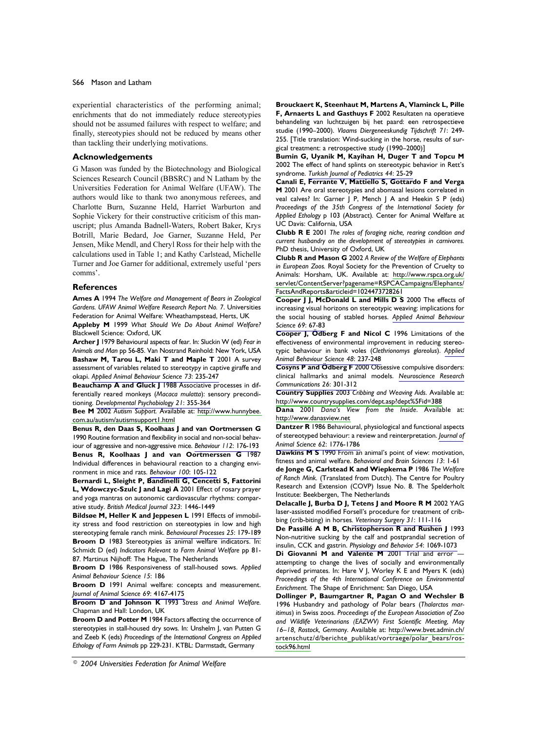experiential characteristics of the performing animal; enrichments that do not immediately reduce stereotypies should not be assumed failures with respect to welfare; and finally, stereotypies should not be reduced by means other than tackling their underlying motivations.

## **Acknowledgements**

G Mason was funded by the Biotechnology and Biological Sciences Research Council (BBSRC) and N Latham by the Universities Federation for Animal Welfare (UFAW). The authors would like to thank two anonymous referees, and Charlotte Burn, Suzanne Held, Harriet Warburton and Sophie Vickery for their constructive criticism of this manuscript; plus Amanda Badnell-Waters, Robert Baker, Krys Botrill, Marie Bedard, Joe Garner, Suzanne Held, Per Jensen, Mike Mendl, and Cheryl Ross for their help with the calculations used in Table 1; and Kathy Carlstead, Michelle Turner and Joe Garner for additional, extremely useful 'pers comms'.

# **References**

Ames A 1994 The Welfare and Management of Bears in Zoological Gardens. UFAW Animal Welfare Research Report No. 7. Universities Federation for Animal Welfare: Wheathampstead, Herts, UK

Appleby M 1999 What Should We Do About Animal Welfare? Blackwell Science: Oxford, UK

Archer J 1979 Behavioural aspects of fear. In: Sluckin W (ed) Fear in Animals and Man pp 56-85. Van Nostrand Reinhold: New York, USA Bashaw M, Tarou L, Maki T and Maple T 2001 A survey assessment of variables related to stereotypy in captive giraffe and okapi. Applied Animal Behaviour Science 73: 235-247

Beauchamp A and Gluck J 1988 Associative processes in differentially reared monkeys (Macaca mulatta): sensory preconditioning. Developmental Psychobiology 21: 355-364

Bee M 2002 Autism Support. Available at: http://www.hunnybee. com.au/autism/autismsupport1.html

Benus R, den Daas S, Koolhaas J and van Oortmerssen G 1990 Routine formation and flexibility in social and non-social behaviour of aggressive and non-aggressive mice. Behaviour 112: 176-193

Benus R, Koolhaas J and van Oortmerssen G 1987 Individual differences in behavioural reaction to a changing environment in mice and rats. Behaviour 100: 105-122

Bernardi L, Sleight P, Bandinelli G, Cencetti S, Fattorini L, Wdowczyc-Szulc J and Lagi A 2001 Effect of rosary prayer and yoga mantras on autonomic cardiovascular rhythms: comparative study. British Medical Journal 323: 1446-1449

Bildsøe M, Heller K and Jeppesen L 1991 Effects of immobility stress and food restriction on stereotypies in low and high stereotyping female ranch mink. Behavioural Processes 25: 179-189 Broom D 1983 Stereotypies as animal welfare indicators. In: Schmidt D (ed) Indicators Relevant to Farm Animal Welfare pp 81-87. Martinus Nijhoff: The Hague, The Netherlands

Broom D 1986 Responsiveness of stall-housed sows. Applied Animal Behaviour Science 15: 186

Broom D 1991 Animal welfare: concepts and measurement. Journal of Animal Science 69: 4167-4175

**Broom D and Johnson K 1993** Stress and Animal Welfare. Chapman and Hall: London, UK

**Broom D and Potter M 1984 Factors affecting the occurrence of** stereotypies in stall-housed dry sows. In: Unshelm J, van Putten G and Zeeb K (eds) Proceedings of the International Congress on Applied Ethology of Farm Animals pp 229-231. KTBL: Darmstadt, Germany

Brouckaert K, Steenhaut M, Martens A, Vlaminck L, Pille F, Arnaerts L and Gasthuys F 2002 Resultaten na operatieve behandeling van luchtzuigen bij het paard: een retrospectieve studie (1990-2000). Vlaams Diergeneeskundig Tijdschrift 71: 249-255. [Title translation: Wind-sucking in the horse, results of surgical treatment: a retrospective study (1990-2000)]

Bumin G, Uyanik M, Kayihan H, Duger T and Topcu M 2002 The effect of hand splints on stereotypic behavior in Rett's syndrome. Turkish Journal of Pediatrics 44: 25-29

Canali E, Ferrante V, Mattiello S, Gottardo F and Verga M 2001 Are oral stereotypies and abomasal lesions correlated in veal calves? In: Garner J P, Mench J A and Heekin S P (eds) Proceedings of the 35th Congress of the International Society for Applied Ethology p 103 (Abstract). Center for Animal Welfare at UC Davis: California, USA

Clubb R E 2001 The roles of foraging niche, rearing condition and current husbandry on the development of stereotypies in carnivores. PhD thesis, University of Oxford, UK

Clubb R and Mason G 2002 A Review of the Welfare of Elephants in European Zoos. Royal Society for the Prevention of Cruelty to Animals: Horsham, UK. Available at: http://www.rspca.org.uk/ servlet/ContentServer?pagename=RSPCACampaigns/Elephants/ FactsAndReports&articleid=1024473728261

Cooper J J, McDonald L and Mills D S 2000 The effects of increasing visual horizons on stereotypic weaving: implications for the social housing of stabled horses. Applied Animal Behaviour Science 69: 67-83

Cooper J, Ödberg F and Nicol C 1996 Limitations of the effectiveness of environmental improvement in reducing stereotypic behaviour in bank voles (Clethrionomys glareolus). Applied Animal Behaviour Science 48: 237-248

**Cosyns P and Ödberg F 2000 Obsessive compulsive disorders:** clinical hallmarks and animal models. Neuroscience Research Communications 26: 301-312

Country Supplies 2003 Cribbing and Weaving Aids. Available at: http://www.countrysupplies.com/dept.asp?dept%5Fid=388

Dana 2001 Dana's View from the Inside. Available at: http://www.danasview.net

Dantzer R 1986 Behavioural, physiological and functional aspects of stereotyped behaviour: a review and reinterpretation. Journal of Animal Science 62: 1776-1786

Dawkins M S 1990 From an animal's point of view: motivation, fitness and animal welfare. Behavioral and Brain Sciences 13: 1-61

de Jonge G, Carlstead K and Wiepkema P 1986 The Welfare of Ranch Mink. (Translated from Dutch). The Centre for Poultry Research and Extension (COVP) Issue No. 8. The Spelderholt Institute: Beekbergen, The Netherlands

Delacalle J, Burba D J, Tetens J and Moore R M 2002 YAG laser-assisted modified Forsell's procedure for treatment of cribbing (crib-biting) in horses. Veterinary Surgery 31: 111-116

De Passillé A M B, Christopherson R and Rushen J 1993 Non-nutritive sucking by the calf and postprandial secretion of insulin, CCK and gastrin. Physiology and Behavior 54: 1069-1073

Di Giovanni M and Valente M 2001 Trial and error attempting to change the lives of socially and environmentally deprived primates. In: Hare V J, Worley K E and Myers K (eds) Proceedings of the 4th International Conference on Environmental Enrichment. The Shape of Enrichment: San Diego, USA

Dollinger P, Baumgartner R, Pagan O and Wechsler B 1996 Husbandry and pathology of Polar bears (Thalarctos maritimus) in Swiss zoos. Proceedings of the European Association of Zoo and Wildlife Veterinarians (EAZWV) First Scientific Meeting, May 16-18, Rostock, Germany. Available at: http://www.bvet.admin.ch/ artenschutz/d/berichte\_publikat/vortraege/polar\_bears/rostock96.html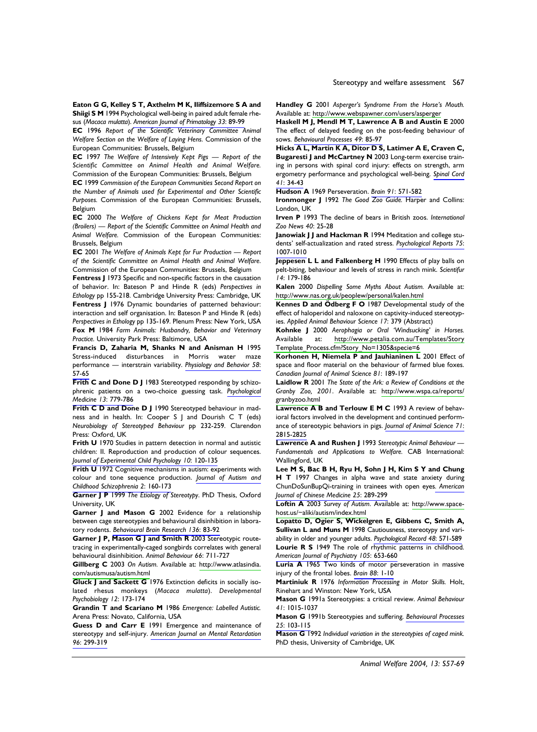Eaton G G, Kelley S T, Axthelm M K, Iliffsizemore S A and Shiigi S M 1994 Psychological well-being in paired adult female rhesus (Macaca mulatta). American Journal of Primatology 33: 89-99

EC 1996 Report of the Scientific Veterinary Committee Animal Welfare Section on the Welfare of Laying Hens. Commission of the European Communities: Brussels, Belgium

EC 1997 The Welfare of Intensively Kept Pigs - Report of the Scientific Committee on Animal Health and Animal Welfare. Commission of the European Communities: Brussels, Belgium

EC 1999 Commission of the European Communities Second Report on the Number of Animals used for Experimental and Other Scientific Purposes. Commission of the European Communities: Brussels, Belgium

EC 2000 The Welfare of Chickens Kept for Meat Production (Broilers) - Report of the Scientific Committee on Animal Health and Animal Welfare. Commission of the European Communities: Brussels, Belgium

EC 2001 The Welfare of Animals Kept for Fur Production - Report of the Scientific Committee on Animal Health and Animal Welfare. Commission of the European Communities: Brussels, Belgium

Fentress J 1973 Specific and non-specific factors in the causation of behavior. In: Bateson P and Hinde R (eds) Perspectives in Ethology pp 155-218. Cambridge University Press: Cambridge, UK Fentress J 1976 Dynamic boundaries of patterned behaviour: interaction and self organisation. In: Bateson P and Hinde R (eds) Perspectives in Ethology pp 135-169. Plenum Press: New York, USA Fox M 1984 Farm Animals: Husbandry, Behavior and Veterinary Practice. University Park Press: Baltimore, USA

Francis D, Zaharia M, Shanks N and Anisman H 1995 Stress-induced disturbances in Morris water maze performance - interstrain variability. Physiology and Behavior 58: 57-65

Frith C and Done D J 1983 Stereotyped responding by schizophrenic patients on a two-choice guessing task. Psychological Medicine 13: 779-786

Frith C D and Done D J 1990 Stereotyped behaviour in madness and in health. In: Cooper S J and Dourish C T (eds) Neurobiology of Stereotyped Behaviour pp 232-259. Clarendon Press: Oxford, UK

Frith U 1970 Studies in pattern detection in normal and autistic children: II. Reproduction and production of colour sequences. Journal of Experimental Child Psychology 10: 120-135

Frith U 1972 Cognitive mechanisms in autism: experiments with colour and tone sequence production. Journal of Autism and Childhood Schizophrenia 2: 160-173

Garner J P 1999 The Etiology of Stereotypy. PhD Thesis, Oxford University, UK

Garner J and Mason G 2002 Evidence for a relationship between cage stereotypies and behavioural disinhibition in laboratory rodents. Behavioural Brain Research 136: 83-92

Garner J P, Mason G J and Smith R 2003 Stereotypic routetracing in experimentally-caged songbirds correlates with general behavioural disinhibition. Animal Behaviour 66: 711-727

Gillberg C 2003 On Autism. Available at: http://www.atlasindia. com/autismusa/autism.html

Gluck J and Sackett G 1976 Extinction deficits in socially isolated rhesus monkeys (Macaca mulatta). Developmental Psychobiology 12: 173-174

Grandin T and Scariano M 1986 Emergence: Labelled Autistic. Arena Press: Novato, California, USA

Guess D and Carr E 1991 Emergence and maintenance of stereotypy and self-injury. American Journal on Mental Retardation 96: 299-319

Handley G 2001 Asperger's Syndrome From the Horse's Mouth. Available at: http://www.webspawner.com/users/asperger

Haskell M J, Mendl M T, Lawrence A B and Austin E 2000 The effect of delayed feeding on the post-feeding behaviour of sows. Behavioural Processes 49: 85-97

Hicks A L, Martin K A, Ditor D S, Latimer A E, Craven C, Bugaresti J and McCartney N 2003 Long-term exercise training in persons with spinal cord injury: effects on strength, arm ergometry performance and psychological well-being. Spinal Cord  $41:34-43$ 

Hudson A 1969 Perseveration. Brain 91: 571-582

Ironmonger J 1992 The Good Zoo Guide. Harper and Collins: London, UK

Irven P 1993 The decline of bears in British zoos. International Zoo News 40: 25-28

**Janowiak I I and Hackman R 1994 Meditation and college stu**dents' self-actualization and rated stress. Psychological Reports 75: 1007-1010

Jeppesen L L and Falkenberg H 1990 Effects of play balls on pelt-biting, behaviour and levels of stress in ranch mink. Scientifur 14: 179-186

Kalen 2000 Dispelling Some Myths About Autism. Available at: http://www.nas.org.uk/peoplew/personal/kalen.html

Kennes D and Ödberg F O 1987 Developmental study of the effect of haloperidol and naloxone on captivity-induced stereotypies. Applied Animal Behaviour Science 17: 379 (Abstract)

Kohnke J 2000 Aerophagia or Oral 'Windsucking' in Horses. http://www.petalia.com.au/Templates/Story Available at: Template\_Process.cfm?Story\_No=1305&specie=6

Korhonen H, Niemela P and Jauhianinen L 2001 Effect of space and floor material on the behaviour of farmed blue foxes. Canadian Journal of Animal Science 81: 189-197

Laidlow R 2001 The State of the Ark: a Review of Conditions at the Granby Zoo, 2001. Available at: http://www.wspa.ca/reports/ granbyzoo.html

**Lawrence A B and Terlouw E M C 1993 A review of behav**joral factors involved in the development and continued performance of stereotypic behaviors in pigs. Journal of Animal Science 71: 2815-2825

Lawrence A and Rushen J 1993 Stereotypic Animal Behaviour -Fundamentals and Applications to Welfare. CAB International: Wallingford, UK

Lee M S, Bac B H, Ryu H, Sohn J H, Kim S Y and Chung H T 1997 Changes in alpha wave and state anxiety during ChunDoSunBupQi-training in trainees with open eyes. American Journal of Chinese Medicine 25: 289-299

Loftin A 2003 Survey of Autism. Available at: http://www.spacehost.us/~aliki/autism/index.html

Lopatto D, Ogier S, Wickelgren E, Gibbens C, Smith A, Sullivan L and Muns M 1998 Cautiousness, stereotypy and variability in older and younger adults. Psychological Record 48: 571-589 Lourie R S 1949 The role of rhythmic patterns in childhood. American Journal of Psychiatry 105: 653-660

Luria A 1965 Two kinds of motor perseveration in massive injury of the frontal lobes. Brain 88: 1-10

Martiniuk R 1976 Information Processing in Motor Skills. Holt, Rinehart and Winston: New York, USA

Mason G 1991a Stereotypies: a critical review. Animal Behaviour 41: 1015-1037

Mason G 1991b Stereotypies and suffering. Behavioural Processes 25: 103-115

Mason G 1992 Individual variation in the stereotypies of caged mink. PhD thesis, University of Cambridge, UK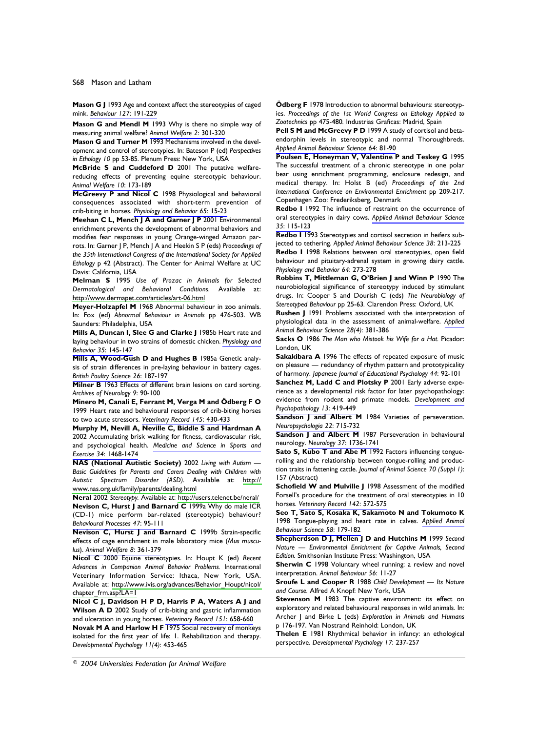Mason G J 1993 Age and context affect the stereotypies of caged mink. Behaviour 127: 191-229

Mason G and Mendl M 1993 Why is there no simple way of measuring animal welfare? Animal Welfare 2: 301-320

Mason G and Turner M 1993 Mechanisms involved in the development and control of stereotypies. In: Bateson P (ed) Perspectives in Ethology 10 pp 53-85. Plenum Press: New York, USA

McBride S and Cuddeford D 2001 The putative welfarereducing effects of preventing equine stereotypic behaviour. Animal Welfare 10: 173-189

McGreevy P and Nicol C 1998 Physiological and behavioral consequences associated with short-term prevention of crib-biting in horses. Physiology and Behavior 65: 15-23

Meehan C L, Mench J A and Garner J P 2001 Environmental enrichment prevents the development of abnormal behaviors and modifies fear responses in young Orange-winged Amazon parrots. In: Garner J P, Mench J A and Heekin S P (eds) Proceedings of the 35th International Congress of the International Society for Applied Ethology p 42 (Abstract). The Center for Animal Welfare at UC Davis: California, USA

Melman S 1995 Use of Prozac in Animals for Selected Dermatological and Behavioral Conditions. Available at: http://www.dermapet.com/articles/art-06.html

Meyer-Holzapfel M 1968 Abnormal behaviour in zoo animals. In: Fox (ed) Abnormal Behaviour in Animals pp 476-503. WB Saunders: Philadelphia, USA

Mills A, Duncan I, Slee G and Clarke J 1985b Heart rate and laying behaviour in two strains of domestic chicken. Physiology and Behavior 35: 145-147

Mills A, Wood-Gush D and Hughes B 1985a Genetic analysis of strain differences in pre-laying behaviour in battery cages. British Poultry Science 26: 187-197

Milner B 1963 Effects of different brain lesions on card sorting. Archives of Neurology 9: 90-100

Minero M, Canali E, Ferrant M, Verga M and Ödberg F O 1999 Heart rate and behavioural responses of crib-biting horses to two acute stressors. Veterinary Record 145: 430-433

Murphy M, Nevill A, Neville C, Biddle S and Hardman A 2002 Accumulating brisk walking for fitness, cardiovascular risk, and psychological health. Medicine and Science in Sports and Exercise 34: 1468-1474

NAS (National Autistic Society) 2002 Living with Autism -Basic Guidelines for Parents and Carers Dealing with Children with Autistic Spectrum Disorder (ASD). Available at: http:// www.nas.org.uk/family/parents/dealing.html

Neral 2002 Stereotypy. Available at: http://users.telenet.be/neral/ Nevison C, Hurst J and Barnard C 1999a Why do male ICR (CD-1) mice perform bar-related (stereotypic) behaviour? Behavioural Processes 47: 95-111

Nevison C, Hurst J and Barnard C 1999b Strain-specific effects of cage enrichment in male laboratory mice (Mus musculus). Animal Welfare 8: 361-379

Nicol C 2000 Equine stereotypies. In: Houpt K (ed) Recent Advances in Companion Animal Behavior Problems. International Veterinary Information Service: Ithaca, New York, USA. Available at: http://www.ivis.org/advances/Behavior\_Houpt/nicol/ chapter frm.asp?LA=1

Nicol C J, Davidson H P D, Harris P A, Waters A J and Wilson A D 2002 Study of crib-biting and gastric inflammation and ulceration in young horses. Veterinary Record 151: 658-660

Novak M A and Harlow H F 1975 Social recovery of monkeys isolated for the first year of life: I. Rehabilitation and therapy. Developmental Psychology 11(4): 453-465

Ödberg F 1978 Introduction to abnormal behaviours: stereotypies. Proceedings of the 1st World Congress on Ethology Applied to Zootechnics pp 475-480. Industrias Graficas: Madrid, Spain

Pell S M and McGreevy P D 1999 A study of cortisol and betaendorphin levels in stereotypic and normal Thoroughbreds. Applied Animal Behaviour Science 64: 81-90

Poulsen E, Honeyman V, Valentine P and Teskey G 1995 The successful treatment of a chronic stereotype in one polar bear using enrichment programming, enclosure redesign, and medical therapy. In: Holst B (ed) Proceedings of the 2nd International Conference on Environmental Enrichment pp 209-217. Copenhagen Zoo: Frederiksberg, Denmark

Redbo I 1992 The influence of restraint on the occurrence of oral stereotypies in dairy cows. Applied Animal Behaviour Science  $35:115-123$ 

**Redbo I 1993** Stereotypies and cortisol secretion in heifers subjected to tethering. Applied Animal Behaviour Science 38: 213-225

Redbo I 1998 Relations between oral stereotypies, open field behaviour and pituitary-adrenal system in growing dairy cattle. Physiology and Behavior 64: 273-278

Robbins T, Mittleman G, O'Brien J and Winn P 1990 The neurobiological significance of stereotypy induced by stimulant drugs. In: Cooper S and Dourish C (eds) The Neurobiology of Stereotyped Behaviour pp 25-63. Clarendon Press: Oxford, UK

Rushen J 1991 Problems associated with the interpretation of physiological data in the assessment of animal-welfare. Applied Animal Behaviour Science 28(4): 381-386

Sacks O 1986 The Man who Mistook his Wife for a Hat. Picador: London, UK

Sakakibara A 1996 The effects of repeated exposure of music on pleasure - redundancy of rhythm pattern and prototypicality of harmony. Japanese Journal of Educational Psychology 44: 92-101

Sanchez M, Ladd C and Plotsky P 2001 Early adverse experience as a developmental risk factor for later psychopathology: evidence from rodent and primate models. Development and Psychopathology 13: 419-449

Sandson J and Albert M 1984 Varieties of perseveration. Neuropsychologia 22: 715-732

**Sandson J and Albert M** 1987 Perseveration in behavioural neurology. Neurology 37: 1736-1741

Sato S, Kubo T and Abe M 1992 Factors influencing tonguerolling and the relationship between tongue-rolling and production traits in fattening cattle. Journal of Animal Science 70 (Suppl 1): 157 (Abstract)

Schofield W and Mulville J 1998 Assessment of the modified Forsell's procedure for the treatment of oral stereotypies in 10 horses. Veterinary Record 142: 572-575

Seo T, Sato S, Kosaka K, Sakamoto N and Tokumoto K 1998 Tongue-playing and heart rate in calves. Applied Animal Behaviour Science 58: 179-182

Shepherdson D J, Mellen J D and Hutchins M 1999 Second Nature - Environmental Enrichment for Captive Animals, Second Edition. Smithsonian Institute Press: Washington, USA

Sherwin C 1998 Voluntary wheel running: a review and novel interpretation. Animal Behaviour 56: 11-27

**Sroufe L and Cooper R 1988** Child Development - Its Nature and Course. Alfred A Knopf: New York, USA

Stevenson M 1983 The captive environment: its effect on exploratory and related behavioural responses in wild animals. In: Archer J and Birke L (eds) Exploration in Animals and Humans p 176-197. Van Nostrand Reinhold: London, UK

Thelen E 1981 Rhythmical behavior in infancy: an ethological perspective. Developmental Psychology 17: 237-257